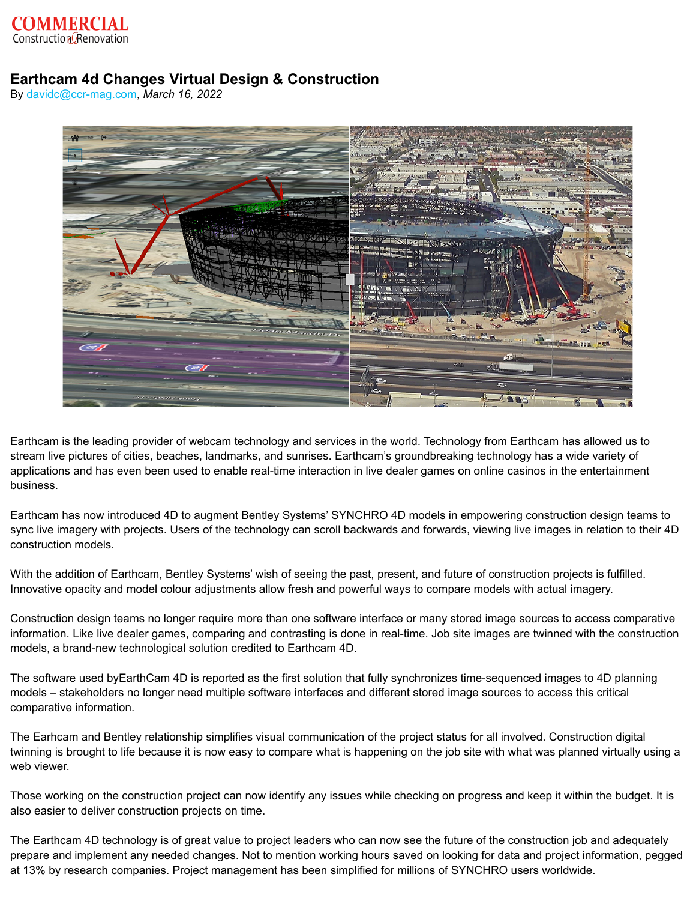## **Earthcam 4d Changes Virtual Design & Construction**

By [davidc@ccr-mag.com](https://www.ccr-mag.com/author/davidcccr-mag-com/), *March 16, 2022*



Earthcam is the leading provider of webcam technology and services in the world. Technology from Earthcam has allowed us to stream live pictures of cities, beaches, landmarks, and sunrises. Earthcam's groundbreaking technology has a wide variety of applications and has even been used to enable real-time interaction in live dealer games on online casinos in the entertainment business.

Earthcam has now introduced 4D to augment Bentley Systems' SYNCHRO 4D models in empowering construction design teams to sync live imagery with projects. Users of the technology can scroll backwards and forwards, viewing live images in relation to their 4D construction models.

With the addition of Earthcam, Bentley Systems' wish of seeing the past, present, and future of construction projects is fulfilled. Innovative opacity and model colour adjustments allow fresh and powerful ways to compare models with actual imagery.

Construction design teams no longer require more than one software interface or many stored image sources to access comparative information. Like live dealer games, comparing and contrasting is done in real-time. Job site images are twinned with the construction models, a brand-new technological solution credited to Earthcam 4D.

The software used byEarthCam 4D is reported as the first solution that fully synchronizes time-sequenced images to 4D planning models – stakeholders no longer need multiple software interfaces and different stored image sources to access this critical comparative information.

The Earhcam and Bentley relationship simplifies visual communication of the project status for all involved. Construction digital twinning is brought to life because it is now easy to compare what is happening on the job site with what was planned virtually using a web viewer.

Those working on the construction project can now identify any issues while checking on progress and keep it within the budget. It is also easier to deliver construction projects on time.

The Earthcam 4D technology is of great value to project leaders who can now see the future of the construction job and adequately prepare and implement any needed changes. Not to mention working hours saved on looking for data and project information, pegged at 13% by research companies. Project management has been simplified for millions of SYNCHRO users worldwide.